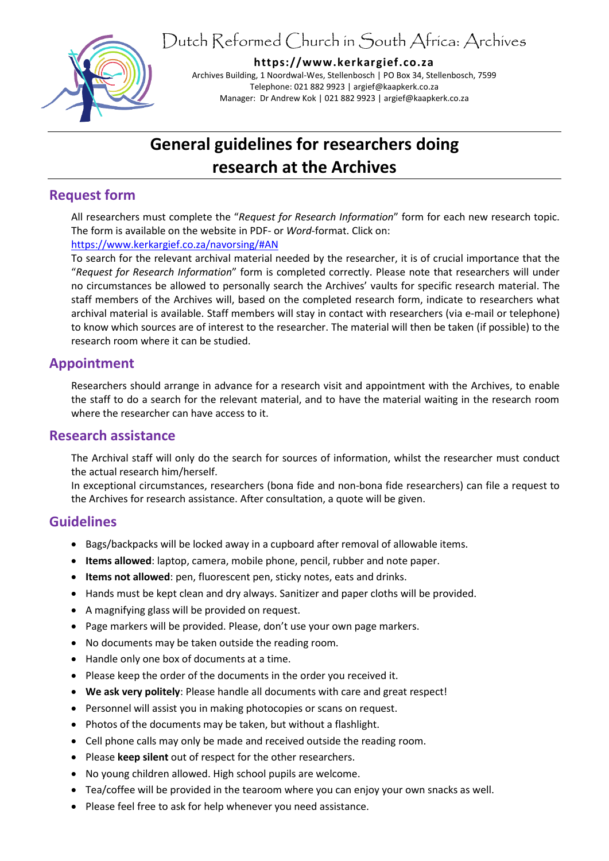Dutch Reformed Church in South Africa: Archives



**https://www.kerkargief.co.za**

Archives Building, 1 Noordwal-Wes, Stellenbosch | PO Box 34, Stellenbosch, 7599 Telephone: 021 882 9923 | argief@kaapkerk.co.za Manager: Dr Andrew Kok | 021 882 9923 | argief@kaapkerk.co.za

# **General guidelines for researchers doing research at the Archives**

## **Request form**

All researchers must complete the "*Request for Research Information*" form for each new research topic. The form is available on the website in PDF- or *Word*-format. Click on: [https://www.kerkargief.co.za/navorsing/#AN](https://www.kerkargief.co.za/navorsing/%23AN)

To search for the relevant archival material needed by the researcher, it is of crucial importance that the "*Request for Research Information*" form is completed correctly. Please note that researchers will under no circumstances be allowed to personally search the Archives' vaults for specific research material. The staff members of the Archives will, based on the completed research form, indicate to researchers what archival material is available. Staff members will stay in contact with researchers (via e-mail or telephone) to know which sources are of interest to the researcher. The material will then be taken (if possible) to the research room where it can be studied.

# **Appointment**

Researchers should arrange in advance for a research visit and appointment with the Archives, to enable the staff to do a search for the relevant material, and to have the material waiting in the research room where the researcher can have access to it.

## **Research assistance**

The Archival staff will only do the search for sources of information, whilst the researcher must conduct the actual research him/herself.

In exceptional circumstances, researchers (bona fide and non-bona fide researchers) can file a request to the Archives for research assistance. After consultation, a quote will be given.

## **Guidelines**

- Bags/backpacks will be locked away in a cupboard after removal of allowable items.
- **Items allowed**: laptop, camera, mobile phone, pencil, rubber and note paper.
- **Items not allowed**: pen, fluorescent pen, sticky notes, eats and drinks.
- Hands must be kept clean and dry always. Sanitizer and paper cloths will be provided.
- A magnifying glass will be provided on request.
- Page markers will be provided. Please, don't use your own page markers.
- No documents may be taken outside the reading room.
- Handle only one box of documents at a time.
- Please keep the order of the documents in the order you received it.
- **We ask very politely**: Please handle all documents with care and great respect!
- Personnel will assist you in making photocopies or scans on request.
- Photos of the documents may be taken, but without a flashlight.
- Cell phone calls may only be made and received outside the reading room.
- Please **keep silent** out of respect for the other researchers.
- No young children allowed. High school pupils are welcome.
- Tea/coffee will be provided in the tearoom where you can enjoy your own snacks as well.
- Please feel free to ask for help whenever you need assistance.